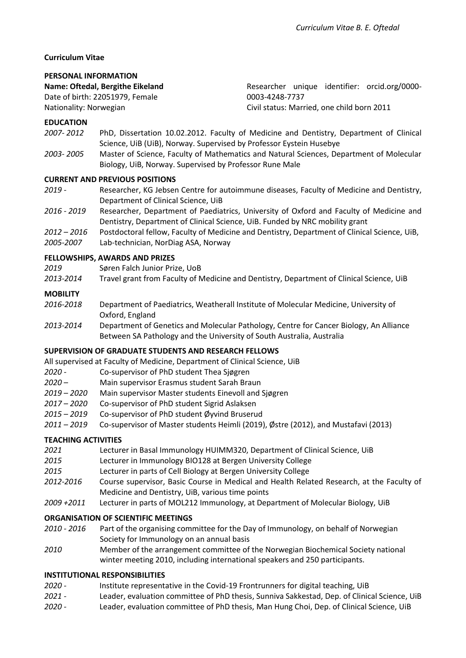# **Curriculum Vitae**

## **PERSONAL INFORMATION**

#### **Name: Oftedal, Bergithe Eikeland**

Date of birth: 22051979, Female

Nationality: Norwegian

Researcher unique identifier: orcid.org/0000- 0003-4248-7737 Civil status: Married, one child born 2011

# **EDUCATION**

- *2007- 2012* PhD, Dissertation 10.02.2012. Faculty of Medicine and Dentistry, Department of Clinical Science, UiB (UiB), Norway. Supervised by Professor Eystein Husebye
- *2003- 2005* Master of Science, Faculty of Mathematics and Natural Sciences, Department of Molecular Biology, UiB, Norway. Supervised by Professor Rune Male

## **CURRENT AND PREVIOUS POSITIONS**

- *2019 -* Researcher, KG Jebsen Centre for autoimmune diseases, Faculty of Medicine and Dentistry, Department of Clinical Science, UiB
- *2016 - 2019* Researcher, Department of Paediatrics, University of Oxford and Faculty of Medicine and Dentistry, Department of Clinical Science, UiB. Funded by NRC mobility grant
- *2012 – 2016* Postdoctoral fellow, Faculty of Medicine and Dentistry, Department of Clinical Science, UiB,
- *2005-2007* Lab-technician, NorDiag ASA, Norway

## **FELLOWSHIPS, AWARDS AND PRIZES**

- *2019* Søren Falch Junior Prize, UoB
- *2013-2014* Travel grant from Faculty of Medicine and Dentistry, Department of Clinical Science, UiB

## **MOBILITY**

- *2016-2018* Department of Paediatrics, Weatherall Institute of Molecular Medicine, University of Oxford, England
- *2013-2014* Department of Genetics and Molecular Pathology, Centre for Cancer Biology, An Alliance Between SA Pathology and the University of South Australia, Australia

#### **SUPERVISION OF GRADUATE STUDENTS AND RESEARCH FELLOWS**

All supervised at Faculty of Medicine, Department of Clinical Science, UiB

- *2020 -* Co-supervisor of PhD student Thea Sjøgren
- *2020 –* Main supervisor Erasmus student Sarah Braun
- *2019 – 2020* Main supervisor Master students Einevoll and Sjøgren
- *2017 – 2020* Co-supervisor of PhD student Sigrid Aslaksen
- *2015 – 2019* Co-supervisor of PhD student Øyvind Bruserud
- *2011 – 2019* Co-supervisor of Master students Heimli (2019), Østre (2012), and Mustafavi (2013)

# **TEACHING ACTIVITIES**

- *2021* Lecturer in Basal Immunology HUIMM320, Department of Clinical Science, UiB
- *2015* Lecturer in Immunology BIO128 at Bergen University College
- *2015* Lecturer in parts of Cell Biology at Bergen University College
- *2012-2016* Course supervisor, Basic Course in Medical and Health Related Research, at the Faculty of Medicine and Dentistry, UiB, various time points
- *2009 +2011* Lecturer in parts of MOL212 Immunology, at Department of Molecular Biology, UiB

#### **ORGANISATION OF SCIENTIFIC MEETINGS**

- *2010 - 2016* Part of the organising committee for the Day of Immunology, on behalf of Norwegian Society for Immunology on an annual basis
- *2010* Member of the arrangement committee of the Norwegian Biochemical Society national winter meeting 2010, including international speakers and 250 participants.

#### **INSTITUTIONAL RESPONSIBILITIES**

- *2020 -* Institute representative in the Covid-19 Frontrunners for digital teaching, UiB
- *2021 -* Leader, evaluation committee of PhD thesis, Sunniva Sakkestad, Dep. of Clinical Science, UiB
- *2020 -* Leader, evaluation committee of PhD thesis, Man Hung Choi, Dep. of Clinical Science, UiB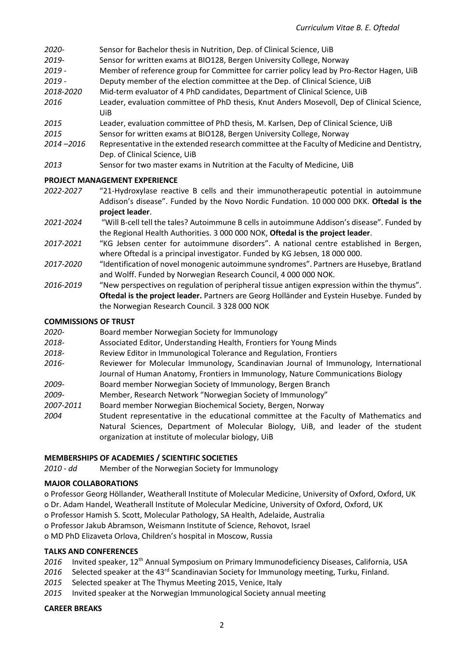| 2020-     | Sensor for Bachelor thesis in Nutrition, Dep. of Clinical Science, UiB                            |
|-----------|---------------------------------------------------------------------------------------------------|
| 2019-     | Sensor for written exams at BIO128, Bergen University College, Norway                             |
| $2019 -$  | Member of reference group for Committee for carrier policy lead by Pro-Rector Hagen, UiB          |
| $2019 -$  | Deputy member of the election committee at the Dep. of Clinical Science, UiB                      |
| 2018-2020 | Mid-term evaluator of 4 PhD candidates, Department of Clinical Science, UiB                       |
| 2016      | Leader, evaluation committee of PhD thesis, Knut Anders Mosevoll, Dep of Clinical Science,<br>UiB |
| 2015      | Leader, evaluation committee of PhD thesis, M. Karlsen, Dep of Clinical Science, UiB              |

- *2015* Sensor for written exams at BIO128, Bergen University College, Norway
- *2014 –2016* Representative in the extended research committee at the Faculty of Medicine and Dentistry, Dep. of Clinical Science, UiB
- *2013* Sensor for two master exams in Nutrition at the Faculty of Medicine, UiB

#### **PROJECT MANAGEMENT EXPERIENCE**

- *2022-2027* "21-Hydroxylase reactive B cells and their immunotherapeutic potential in autoimmune Addison's disease". Funded by the Novo Nordic Fundation. 10 000 000 DKK. **Oftedal is the project leader**.
- *2021-2024* "Will B-cell tell the tales? Autoimmune B cells in autoimmune Addison's disease". Funded by the Regional Health Authorities. 3 000 000 NOK, **Oftedal is the project leader**.
- *2017-2021* "KG Jebsen center for autoimmune disorders". A national centre established in Bergen, where Oftedal is a principal investigator. Funded by KG Jebsen, 18 000 000.
- *2017-2020* "Identification of novel monogenic autoimmune syndromes". Partners are Husebye, Bratland and Wolff. Funded by Norwegian Research Council, 4 000 000 NOK.
- *2016-2019* "New perspectives on regulation of peripheral tissue antigen expression within the thymus". **Oftedal is the project leader.** Partners are Georg Holländer and Eystein Husebye. Funded by the Norwegian Research Council. 3 328 000 NOK

## **COMMISSIONS OF TRUST**

| 2020- | Board member Norwegian Society for Immunology |
|-------|-----------------------------------------------|
|-------|-----------------------------------------------|

- *2018-* Associated Editor, Understanding Health, Frontiers for Young Minds
- *2018-* Review Editor in Immunological Tolerance and Regulation, Frontiers
- *2016-* Reviewer for Molecular Immunology, Scandinavian Journal of Immunology, International Journal of Human Anatomy, Frontiers in Immunology, Nature Communications Biology
- *2009-* Board member Norwegian Society of Immunology, Bergen Branch
- *2009-* Member, Research Network "Norwegian Society of Immunology"

*2007-2011* Board member Norwegian Biochemical Society, Bergen, Norway

*2004* Student representative in the educational committee at the Faculty of Mathematics and Natural Sciences, Department of Molecular Biology, UiB, and leader of the student organization at institute of molecular biology, UiB

#### **MEMBERSHIPS OF ACADEMIES / SCIENTIFIC SOCIETIES**

*2010 - dd* Member of the Norwegian Society for Immunology

#### **MAJOR COLLABORATIONS**

- o Professor Georg Höllander, Weatherall Institute of Molecular Medicine, University of Oxford, Oxford, UK o Dr. Adam Handel, Weatherall Institute of Molecular Medicine, University of Oxford, Oxford, UK
- o Professor Hamish S. Scott, Molecular Pathology, SA Health, Adelaide, Australia
- o Professor Jakub Abramson, Weismann Institute of Science, Rehovot, Israel

o MD PhD Elizaveta Orlova, Children's hospital in Moscow, Russia

# **TALKS AND CONFERENCES**

- 2016 Invited speaker, 12<sup>th</sup> Annual Symposium on Primary Immunodeficiency Diseases, California, USA
- 2016 Selected speaker at the 43<sup>rd</sup> Scandinavian Society for Immunology meeting, Turku, Finland.
- *2015* Selected speaker at The Thymus Meeting 2015, Venice, Italy
- *2015* Invited speaker at the Norwegian Immunological Society annual meeting

#### **CAREER BREAKS**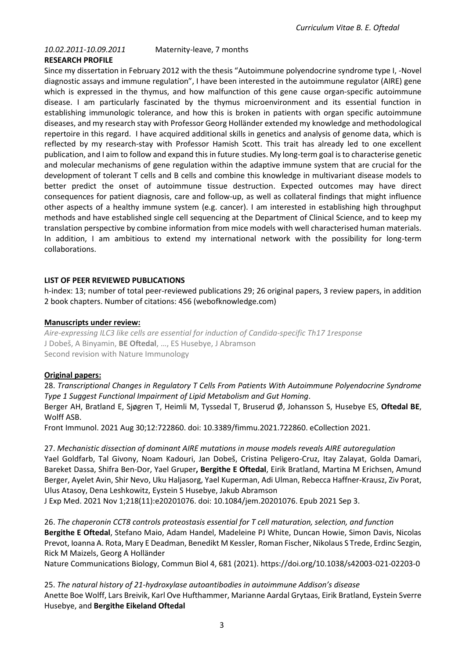*10.02.2011-10.09.2011* Maternity-leave, 7 months

## **RESEARCH PROFILE**

Since my dissertation in February 2012 with the thesis "Autoimmune polyendocrine syndrome type I, -Novel diagnostic assays and immune regulation", I have been interested in the autoimmune regulator (AIRE) gene which is expressed in the thymus, and how malfunction of this gene cause organ-specific autoimmune disease. I am particularly fascinated by the thymus microenvironment and its essential function in establishing immunologic tolerance, and how this is broken in patients with organ specific autoimmune diseases, and my research stay with Professor Georg Holländer extended my knowledge and methodological repertoire in this regard. I have acquired additional skills in genetics and analysis of genome data, which is reflected by my research-stay with Professor Hamish Scott. This trait has already led to one excellent publication, and I aim to follow and expand this in future studies. My long-term goal is to characterise genetic and molecular mechanisms of gene regulation within the adaptive immune system that are crucial for the development of tolerant T cells and B cells and combine this knowledge in multivariant disease models to better predict the onset of autoimmune tissue destruction. Expected outcomes may have direct consequences for patient diagnosis, care and follow-up, as well as collateral findings that might influence other aspects of a healthy immune system (e.g. cancer). I am interested in establishing high throughput methods and have established single cell sequencing at the Department of Clinical Science, and to keep my translation perspective by combine information from mice models with well characterised human materials. In addition, I am ambitious to extend my international network with the possibility for long-term collaborations.

#### **LIST OF PEER REVIEWED PUBLICATIONS**

h-index: 13; number of total peer-reviewed publications 29; 26 original papers, 3 review papers, in addition 2 book chapters. Number of citations: 456 (webofknowledge.com)

## **Manuscripts under review:**

*Aire-expressing ILC3 like cells are essential for induction of Candida-specific Th17 1response* J Dobeš, A Binyamin, **BE Oftedal**, …, ES Husebye, J Abramson Second revision with Nature Immunology

# **Original papers:**

28. *Transcriptional Changes in Regulatory T Cells From Patients With Autoimmune Polyendocrine Syndrome Type 1 Suggest Functional Impairment of Lipid Metabolism and Gut Homing*.

Berger AH, Bratland E, Sjøgren T, Heimli M, Tyssedal T, Bruserud Ø, Johansson S, Husebye ES, **Oftedal BE**, Wolff ASB.

Front Immunol. 2021 Aug 30;12:722860. doi: 10.3389/fimmu.2021.722860. eCollection 2021.

27. *Mechanistic dissection of dominant AIRE mutations in mouse models reveals AIRE autoregulation* Yael Goldfarb, Tal Givony, Noam Kadouri, Jan Dobeš, Cristina Peligero-Cruz, Itay Zalayat, Golda Damari, Bareket Dassa, Shifra Ben-Dor, Yael Gruper**, Bergithe E Oftedal**, Eirik Bratland, Martina M Erichsen, Amund Berger, Ayelet Avin, Shir Nevo, Uku Haljasorg, Yael Kuperman, Adi Ulman, Rebecca Haffner-Krausz, Ziv Porat, Ulus Atasoy, Dena Leshkowitz, Eystein S Husebye, Jakub Abramson

J Exp Med. 2021 Nov 1;218(11):e20201076. doi: 10.1084/jem.20201076. Epub 2021 Sep 3.

26. *The chaperonin CCT8 controls proteostasis essential for T cell maturation, selection, and function* **Bergithe E Oftedal**, Stefano Maio, Adam Handel, Madeleine PJ White, Duncan Howie, Simon Davis, Nicolas Prevot, Ioanna A. Rota, Mary E Deadman, Benedikt M Kessler, Roman Fischer, Nikolaus S Trede, Erdinc Sezgin, Rick M Maizels, Georg A Holländer

Nature Communications Biology, Commun Biol 4, 681 (2021). https://doi.org/10.1038/s42003-021-02203-0

25. *The natural history of 21-hydroxylase autoantibodies in autoimmune Addison's disease* Anette Boe Wolff, Lars Breivik, Karl Ove Hufthammer, Marianne Aardal Grytaas, Eirik Bratland, Eystein Sverre Husebye, and **Bergithe Eikeland Oftedal**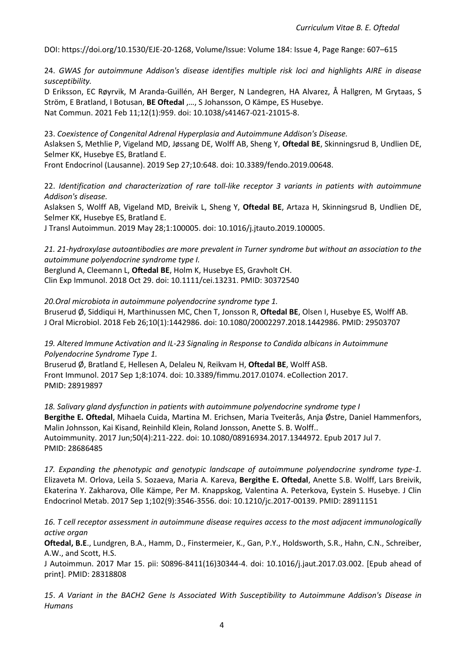DOI: https://doi.org/10.1530/EJE-20-1268, Volume/Issue: Volume 184: Issue 4, Page Range: 607–615

24. *GWAS for autoimmune Addison's disease identifies multiple risk loci and highlights AIRE in disease susceptibility.*

D Eriksson, EC Røyrvik, M Aranda-Guillén, AH Berger, N Landegren, HA Alvarez, Å Hallgren, M Grytaas, S Ström, E Bratland, I Botusan, **BE Oftedal** ,…, S Johansson, O Kämpe, ES Husebye. Nat Commun. 2021 Feb 11;12(1):959. doi: 10.1038/s41467-021-21015-8.

23. *Coexistence of Congenital Adrenal Hyperplasia and Autoimmune Addison's Disease.* Aslaksen S, Methlie P, Vigeland MD, Jøssang DE, Wolff AB, Sheng Y, **Oftedal BE**, Skinningsrud B, Undlien DE, Selmer KK, Husebye ES, Bratland E.

Front Endocrinol (Lausanne). 2019 Sep 27;10:648. doi: 10.3389/fendo.2019.00648.

22. *Identification and characterization of rare toll-like receptor 3 variants in patients with autoimmune Addison's disease.*

Aslaksen S, Wolff AB, Vigeland MD, Breivik L, Sheng Y, **Oftedal BE**, Artaza H, Skinningsrud B, Undlien DE, Selmer KK, Husebye ES, Bratland E.

J Transl Autoimmun. 2019 May 28;1:100005. doi: 10.1016/j.jtauto.2019.100005.

*21. 21-hydroxylase autoantibodies are more prevalent in Turner syndrome but without an association to the autoimmune polyendocrine syndrome type I.*

Berglund A, Cleemann L, **Oftedal BE**, Holm K, Husebye ES, Gravholt CH. Clin Exp Immunol. 2018 Oct 29. doi: 10.1111/cei.13231. PMID: 30372540

*20.Oral microbiota in autoimmune polyendocrine syndrome type 1.*  Bruserud Ø, Siddiqui H, Marthinussen MC, Chen T, Jonsson R, **Oftedal BE**, Olsen I, Husebye ES, Wolff AB. J Oral Microbiol. 2018 Feb 26;10(1):1442986. doi: 10.1080/20002297.2018.1442986. PMID: 29503707

*19. Altered Immune Activation and IL-23 Signaling in Response to Candida albicans in Autoimmune Polyendocrine Syndrome Type 1.* 

Bruserud Ø, Bratland E, Hellesen A, Delaleu N, Reikvam H, **Oftedal BE**, Wolff ASB. Front Immunol. 2017 Sep 1;8:1074. doi: 10.3389/fimmu.2017.01074. eCollection 2017. PMID: 28919897

*18. Salivary gland dysfunction in patients with autoimmune polyendocrine syndrome type I*  **Bergithe E. Oftedal**, Mihaela Cuida, Martina M. Erichsen, Maria Tveiterås, Anja Østre, Daniel Hammenfors, Malin Johnsson, Kai Kisand, Reinhild Klein, Roland Jonsson, Anette S. B. Wolff.. Autoimmunity. 2017 Jun;50(4):211-222. doi: 10.1080/08916934.2017.1344972. Epub 2017 Jul 7. PMID: 28686485

*17. Expanding the phenotypic and genotypic landscape of autoimmune polyendocrine syndrome type-1.*  Elizaveta M. Orlova, Leila S. Sozaeva, Maria A. Kareva, **Bergithe E. Oftedal**, Anette S.B. Wolff, Lars Breivik, Ekaterina Y. Zakharova, Olle Kämpe, Per M. Knappskog, Valentina A. Peterkova, Eystein S. Husebye. J Clin Endocrinol Metab. 2017 Sep 1;102(9):3546-3556. doi: 10.1210/jc.2017-00139. PMID: 28911151

*16. T cell receptor assessment in autoimmune disease requires access to the most adjacent immunologically active organ* 

**Oftedal, B.E**., Lundgren, B.A., Hamm, D., Finstermeier, K., Gan, P.Y., Holdsworth, S.R., Hahn, C.N., Schreiber, A.W., and Scott, H.S.

J Autoimmun. 2017 Mar 15. pii: S0896-8411(16)30344-4. doi: 10.1016/j.jaut.2017.03.002. [Epub ahead of print]. PMID: 28318808

*15*. *A Variant in the BACH2 Gene Is Associated With Susceptibility to Autoimmune Addison's Disease in Humans*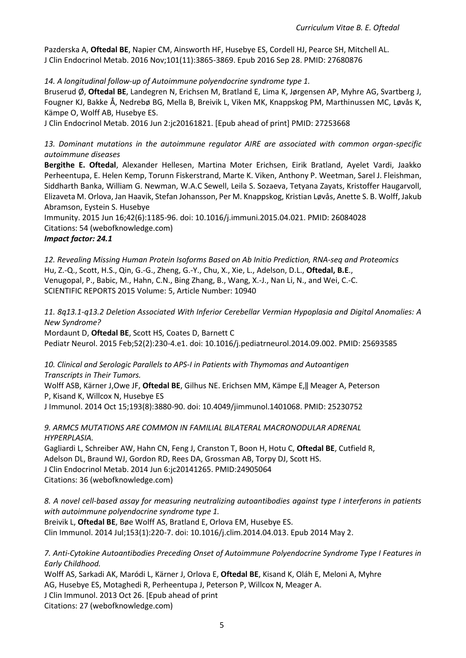Pazderska A, **Oftedal BE**, Napier CM, Ainsworth HF, Husebye ES, Cordell HJ, Pearce SH, Mitchell AL. J Clin Endocrinol Metab. 2016 Nov;101(11):3865-3869. Epub 2016 Sep 28. PMID: 27680876

*14. A longitudinal follow-up of Autoimmune polyendocrine syndrome type 1.* 

Bruserud Ø, **Oftedal BE**, Landegren N, Erichsen M, Bratland E, Lima K, Jørgensen AP, Myhre AG, Svartberg J, Fougner KJ, Bakke Å, Nedrebø BG, Mella B, Breivik L, Viken MK, Knappskog PM, Marthinussen MC, Løvås K, Kämpe O, Wolff AB, Husebye ES.

J Clin Endocrinol Metab. 2016 Jun 2:jc20161821. [Epub ahead of print] PMID: 27253668

*13. Dominant mutations in the autoimmune regulator AIRE are associated with common organ-specific autoimmune diseases* 

**Bergithe E. Oftedal**, Alexander Hellesen, Martina Moter Erichsen, Eirik Bratland, Ayelet Vardi, Jaakko Perheentupa, E. Helen Kemp, Torunn Fiskerstrand, Marte K. Viken, Anthony P. Weetman, Sarel J. Fleishman, Siddharth Banka, William G. Newman, W.A.C Sewell, Leila S. Sozaeva, Tetyana Zayats, Kristoffer Haugarvoll, Elizaveta M. Orlova, Jan Haavik, Stefan Johansson, Per M. Knappskog, Kristian Løvås, Anette S. B. Wolff, Jakub Abramson, Eystein S. Husebye

Immunity. 2015 Jun 16;42(6):1185-96. doi: 10.1016/j.immuni.2015.04.021. PMID: 26084028 Citations: 54 (webofknowledge.com)

## *Impact factor: 24.1*

*12. Revealing Missing Human Protein Isoforms Based on Ab Initio Prediction, RNA-seq and Proteomics*  Hu, Z.-Q., Scott, H.S., Qin, G.-G., Zheng, G.-Y., Chu, X., Xie, L., Adelson, D.L., **Oftedal, B.E**., Venugopal, P., Babic, M., Hahn, C.N., Bing Zhang, B., Wang, X.-J., Nan Li, N., and Wei, C.-C. SCIENTIFIC REPORTS 2015 Volume: 5, Article Number: 10940

*11. 8q13.1-q13.2 Deletion Associated With Inferior Cerebellar Vermian Hypoplasia and Digital Anomalies: A New Syndrome?* 

Mordaunt D, **Oftedal BE**, Scott HS, Coates D, Barnett C Pediatr Neurol. 2015 Feb;52(2):230-4.e1. doi: 10.1016/j.pediatrneurol.2014.09.002. PMID: 25693585

*10. Clinical and Serologic Parallels to APS-I in Patients with Thymomas and Autoantigen Transcripts in Their Tumors.* 

Wolff ASB, Kärner J,Owe JF, **Oftedal BE**, Gilhus NE. Erichsen MM, Kämpe E,‖ Meager A, Peterson P, Kisand K, Willcox N, Husebye ES

J Immunol. 2014 Oct 15;193(8):3880-90. doi: 10.4049/jimmunol.1401068. PMID: 25230752

*9. ARMC5 MUTATIONS ARE COMMON IN FAMILIAL BILATERAL MACRONODULAR ADRENAL HYPERPLASIA.* 

Gagliardi L, Schreiber AW, Hahn CN, Feng J, Cranston T, Boon H, Hotu C, **Oftedal BE**, Cutfield R, Adelson DL, Braund WJ, Gordon RD, Rees DA, Grossman AB, Torpy DJ, Scott HS. J Clin Endocrinol Metab. 2014 Jun 6:jc20141265. PMID:24905064 Citations: 36 (webofknowledge.com)

*8. A novel cell-based assay for measuring neutralizing autoantibodies against type I interferons in patients with autoimmune polyendocrine syndrome type 1.* Breivik L, **Oftedal BE**, Bøe Wolff AS, Bratland E, Orlova EM, Husebye ES.

Clin Immunol. 2014 Jul;153(1):220-7. doi: 10.1016/j.clim.2014.04.013. Epub 2014 May 2.

*7. Anti-Cytokine Autoantibodies Preceding Onset of Autoimmune Polyendocrine Syndrome Type I Features in Early Childhood.* 

Wolff AS, Sarkadi AK, Maródi L, Kärner J, Orlova E, **Oftedal BE**, Kisand K, Oláh E, Meloni A, Myhre AG, Husebye ES, Motaghedi R, Perheentupa J, Peterson P, Willcox N, Meager A. J Clin Immunol. 2013 Oct 26. [Epub ahead of print Citations: 27 (webofknowledge.com)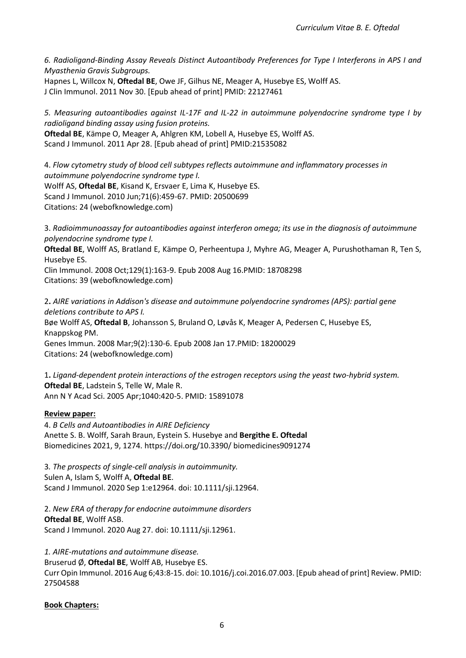*6. Radioligand-Binding Assay Reveals Distinct Autoantibody Preferences for Type I Interferons in APS I and Myasthenia Gravis Subgroups.* 

Hapnes L, Willcox N, **Oftedal BE**, Owe JF, Gilhus NE, Meager A, Husebye ES, Wolff AS. J Clin Immunol. 2011 Nov 30. [Epub ahead of print] PMID: 22127461

*5. Measuring autoantibodies against IL-17F and IL-22 in autoimmune polyendocrine syndrome type I by radioligand binding assay using fusion proteins.* 

**Oftedal BE**, Kämpe O, Meager A, Ahlgren KM, Lobell A, Husebye ES, Wolff AS. Scand J Immunol. 2011 Apr 28. [Epub ahead of print] PMID:21535082

4. *Flow cytometry study of blood cell subtypes reflects autoimmune and inflammatory processes in autoimmune polyendocrine syndrome type I.*  Wolff AS, **Oftedal BE**, Kisand K, Ersvaer E, Lima K, Husebye ES. Scand J Immunol. 2010 Jun;71(6):459-67. PMID: 20500699 Citations: 24 (webofknowledge.com)

3. *Radioimmunoassay for autoantibodies against interferon omega; its use in the diagnosis of autoimmune polyendocrine syndrome type I.* 

**Oftedal BE**, Wolff AS, Bratland E, Kämpe O, Perheentupa J, Myhre AG, Meager A, Purushothaman R, Ten S, Husebye ES.

Clin Immunol. 2008 Oct;129(1):163-9. Epub 2008 Aug 16.PMID: 18708298 Citations: 39 (webofknowledge.com)

2**.** *AIRE variations in Addison's disease and autoimmune polyendocrine syndromes (APS): partial gene deletions contribute to APS I.*  Bøe Wolff AS, **Oftedal B**, Johansson S, Bruland O, Løvås K, Meager A, Pedersen C, Husebye ES, Knappskog PM. Genes Immun. 2008 Mar;9(2):130-6. Epub 2008 Jan 17.PMID: 18200029 Citations: 24 (webofknowledge.com)

1**.** *Ligand-dependent protein interactions of the estrogen receptors using the yeast two-hybrid system.*  **Oftedal BE**, Ladstein S, Telle W, Male R. Ann N Y Acad Sci. 2005 Apr;1040:420-5. PMID: 15891078

# **Review paper:**

4. *B Cells and Autoantibodies in AIRE Deficiency* Anette S. B. Wolff, Sarah Braun, Eystein S. Husebye and **Bergithe E. Oftedal** Biomedicines 2021, 9, 1274. https://doi.org/10.3390/ biomedicines9091274

3*. The prospects of single-cell analysis in autoimmunity.* Sulen A, Islam S, Wolff A, **Oftedal BE**. Scand J Immunol. 2020 Sep 1:e12964. doi: 10.1111/sji.12964.

2. *New ERA of therapy for endocrine autoimmune disorders* **Oftedal BE**, Wolff ASB. Scand J Immunol. 2020 Aug 27. doi: 10.1111/sji.12961.

*1. AIRE-mutations and autoimmune disease.*  Bruserud Ø, **Oftedal BE**, Wolff AB, Husebye ES. Curr Opin Immunol. 2016 Aug 6;43:8-15. doi: 10.1016/j.coi.2016.07.003. [Epub ahead of print] Review. PMID: 27504588

# **Book Chapters:**